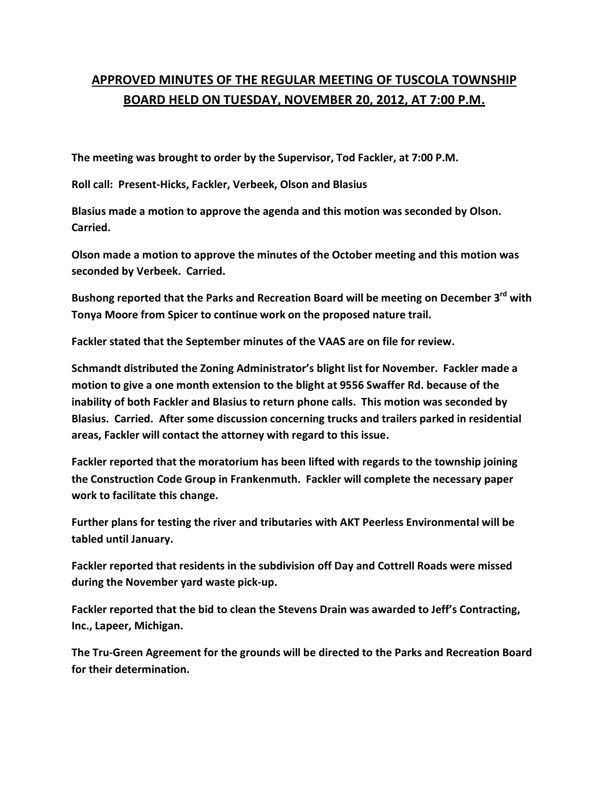## **APPROVED MINUTES OF THE REGULAR MEETING OF TUSCOLA TOWNSHIP BOARD HELD ON TUESDAY, NOVEMBER 20, 2012, AT 7:00 P.M.**

**The meeting was brought to order by the Supervisor, Tod Fackler, at 7:00 P.M.** 

**Roll call: Present-Hicks, Fackler, Verbeek, Olson and Blasius** 

**Blasius made a motion to approve the agenda and this motion was seconded by Olson. Carried.** 

**Olson made a motion to approve the minutes of the October meeting and this motion was seconded by Verbeek. Carried.** 

**Bushong reported that the Parks and Recreation Board will be meeting on December 3rd with Tonya Moore from Spicer to continue work on the proposed nature trail.** 

**Fackler stated that the September minutes of the VAAS are on file for review.** 

**Schmandt distributed the Zoning Administrator's blight list for November. Fackler made a motion to give a one month extension to the blight at 9556 Swaffer Rd. because of the inability of both Fackler and Blasius to return phone calls. This motion was seconded by Blasius. Carried. After some discussion concerning trucks and trailers parked in residential areas, Fackler will contact the attorney with regard to this issue.** 

**Fackler reported that the moratorium has been lifted with regards to the township joining the Construction Code Group in Frankenmuth. Fackler will complete the necessary paper work to facilitate this change.** 

**Further plans for testing the river and tributaries with AKT Peerless Environmental will be tabled until January.** 

**Fackler reported that residents in the subdivision off Day and Cottrell Roads were missed during the November yard waste pick-up.** 

**Fackler reported that the bid to clean the Stevens Drain was awarded to Jeff's Contracting, Inc., Lapeer, Michigan.** 

**The Tru-Green Agreement for the grounds will be directed to the Parks and Recreation Board for their determination.**